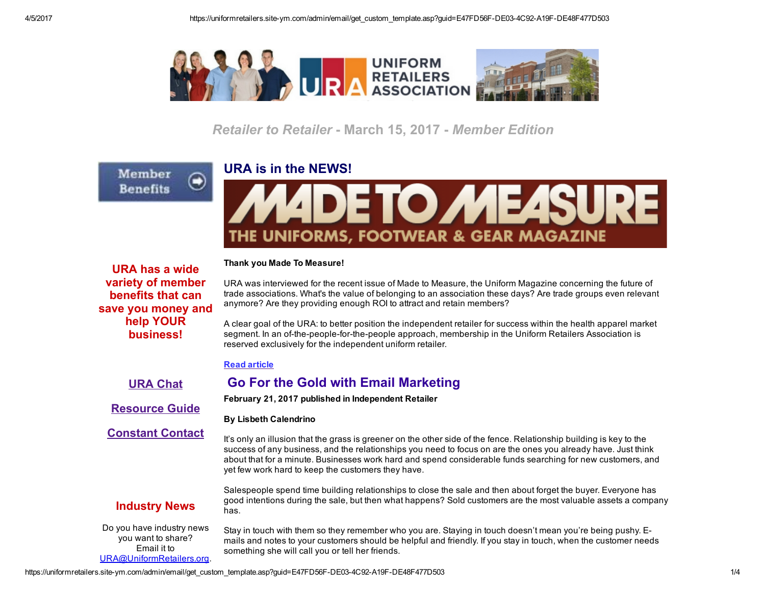

**Retailer to Retailer - March 15, 2017 - Member Edition** 

## URA is in the NEWS!

THE UNIFORMS, FOOTWEAR & GEAR MAGAZINE

Thank you Made To Measure!

URA has a wide variety of member benefits that can save you money and help YOUR business!

Member

**Benefits** 

Ξ

URA was interviewed for the recent issue of Made to Measure, the Uniform Magazine concerning the future of trade associations. What's the value of belonging to an association these days? Are trade groups even relevant anymore? Are they providing enough ROI to attract and retain members?

A clear goal of the URA: to better position the independent retailer for success within the health apparel market segment. In an of-the-people-for-the-people approach, membership in the Uniform Retailers Association is reserved exclusively for the independent uniform retailer.

## Read [article](http://www.madetomeasuremag.com/members-only)

URA [Chat](http://www.uniformretailers.org/Login.aspx)

[Resource](https://uniformretailers.site-ym.com/page/2017Perfect10) Guide

[Constant](http://www.uniformretailers.org/Login.aspx) Contact

By Lisbeth Calendrino

Go For the Gold with Email Marketing

February 21, 2017 published in Independent Retailer

It's only an illusion that the grass is greener on the other side of the fence. Relationship building is key to the success of any business, and the relationships you need to focus on are the ones you already have. Just think about that for a minute. Businesses work hard and spend considerable funds searching for new customers, and yet few work hard to keep the customers they have.

# Industry News

Salespeople spend time building relationships to close the sale and then about forget the buyer. Everyone has good intentions during the sale, but then what happens? Sold customers are the most valuable assets a company has.

Do you have industry news you want to share? Email it to [URA@UniformRetailers.org.](mailto:URA@UniformRetailers.org?subject=URA%20Industry%20News) Stay in touch with them so they remember who you are. Staying in touch doesn't mean you're being pushy. Emails and notes to your customers should be helpful and friendly. If you stay in touch, when the customer needs something she will call you or tell her friends.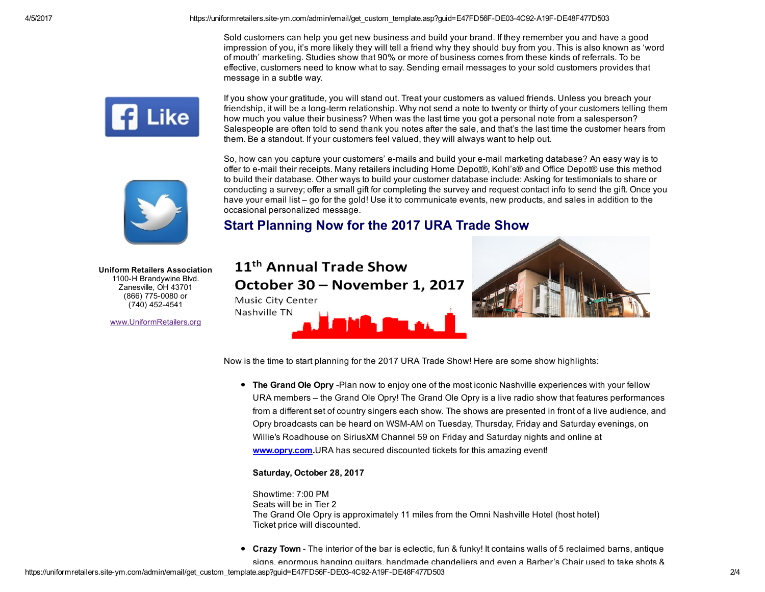Sold customers can help you get new business and build your brand. If they remember you and have a good impression of you, it's more likely they will tell a friend why they should buy from you. This is also known as 'word of mouth' marketing. Studies show that 90% or more of business comes from these kinds of referrals. To be effective, customers need to know what to say. Sending email messages to your sold customers provides that message in a subtle way.



If you show your gratitude, you will stand out. Treat your customers as valued friends. Unless you breach your friendship, it will be a long-term relationship. Why not send a note to twenty or thirty of your customers telling them how much you value their business? When was the last time you got a personal note from a salesperson? Salespeople are often told to send thank you notes after the sale, and that's the last time the customer hears from them. Be a standout. If your customers feel valued, they will always want to help out.



So, how can you capture your customers' e-mails and build your e-mail marketing database? An easy way is to offer to email their receipts. Many retailers including Home Depot®, Kohl's® and Office Depot® use this method to build their database. Other ways to build your customer database include: Asking for testimonials to share or conducting a survey; offer a small gift for completing the survey and request contact info to send the gift. Once you have your email list – go for the gold! Use it to communicate events, new products, and sales in addition to the occasional personalized message.

# Start Planning Now for the 2017 URA Trade Show

Uniform Retailers Association 1100-H Brandywine Blvd. Zanesville, OH 43701 (866) 775-0080 or (740) 452-4541

[www.UniformRetailers.org](http://www.uniformretailers.org/)

# 11<sup>th</sup> Annual Trade Show October 30 - November 1, 2017 Music City Center Nashville TN



Now is the time to start planning for the 2017 URA Trade Show! Here are some show highlights:

• The Grand Ole Opry -Plan now to enjoy one of the most iconic Nashville experiences with your fellow URA members – the Grand Ole Opry! The Grand Ole Opry is a live radio show that features performances from a different set of country singers each show. The shows are presented in front of a live audience, and Opry broadcasts can be heard on WSMAM on Tuesday, Thursday, Friday and Saturday evenings, on Willie's Roadhouse on SiriusXM Channel 59 on Friday and Saturday nights and online at [www.opry.com.](http://www.uniformretailers.org/link.asp?e=jclegg@offinger.com&job=2713431&ymlink=65029530&finalurl=http%3A%2F%2Fwww%2Eopry%2Ecom)URA has secured discounted tickets for this amazing event!

### Saturday, October 28, 2017

Showtime: 7:00 PM Seats will be in Tier 2 The Grand Ole Opry is approximately 11 miles from the Omni Nashville Hotel (host hotel) Ticket price will discounted.

• Crazy Town - The interior of the bar is eclectic, fun & funky! It contains walls of 5 reclaimed barns, antique

signs, enormous hanging guitars, handmade chandeliers and even a Barber's Chair used to take shots &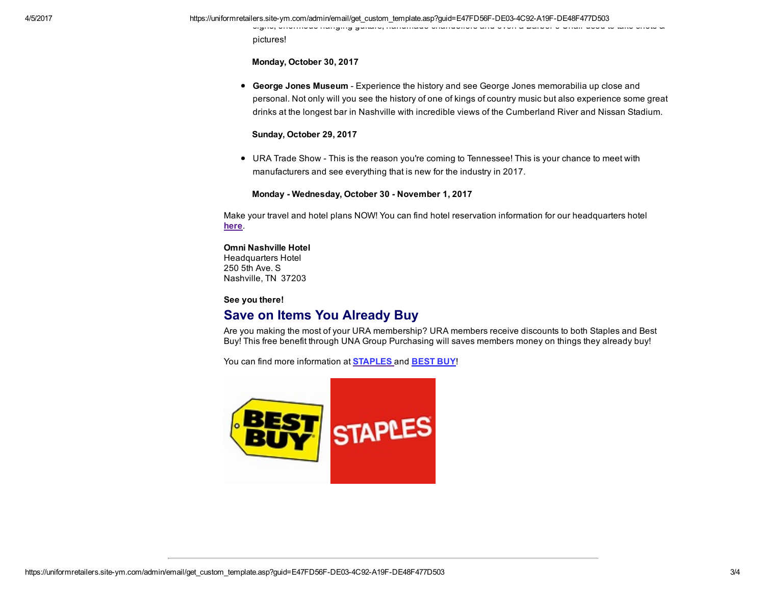signs, enormous hanging guitars, handmade chandeliers and even a Barber's Chair used to take shots &

pictures!

Monday, October 30, 2017

**George Jones Museum** - Experience the history and see George Jones memorabilia up close and personal. Not only will you see the history of one of kings of country music but also experience some great drinks at the longest bar in Nashville with incredible views of the Cumberland River and Nissan Stadium.

#### Sunday, October 29, 2017

URA Trade Show This is the reason you're coming to Tennessee! This is your chance to meet with manufacturers and see everything that is new for the industry in 2017.

Monday - Wednesday, October 30 - November 1, 2017

Make your travel and hotel plans NOW! You can find hotel reservation information for our headquarters hotel [here](http://www.uniformretailers.org/page/HotelTravel).

#### Omni Nashville Hotel Headquarters Hotel 250 5th Ave. S Nashville, TN 37203

#### See you there!

## Save on Items You Already Buy

Are you making the most of your URA membership? URA members receive discounts to both Staples and Best Buy! This free benefit through UNA Group Purchasing will saves members money on things they already buy!

You can find more information at **[STAPLES](http://c.ymcdn.com/sites/www.uniformretailers.org/resource/resmgr/files/Staples_Summary.pdf)** and **[BEST](http://c.ymcdn.com/sites/www.uniformretailers.org/resource/resmgr/files/Best_Buy_Summary.pdf) BUY!**